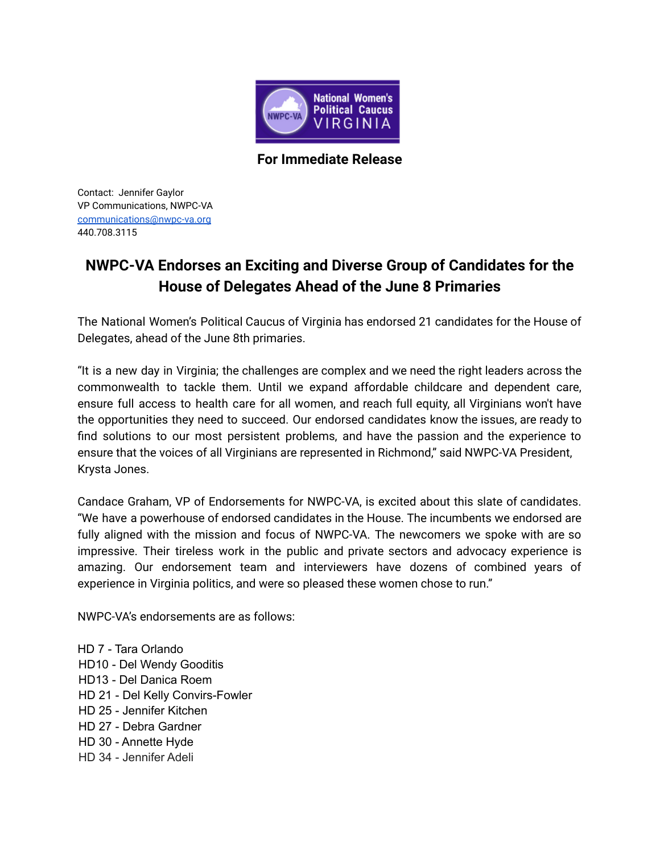

**For Immediate Release**

Contact: Jennifer Gaylor VP Communications, NWPC-VA [communications@nwpc-va.org](mailto:communications@nwpc-va.org) 440.708.3115

## **NWPC-VA Endorses an Exciting and Diverse Group of Candidates for the House of Delegates Ahead of the June 8 Primaries**

The National Women's Political Caucus of Virginia has endorsed 21 candidates for the House of Delegates, ahead of the June 8th primaries.

"It is a new day in Virginia; the challenges are complex and we need the right leaders across the commonwealth to tackle them. Until we expand affordable childcare and dependent care, ensure full access to health care for all women, and reach full equity, all Virginians won't have the opportunities they need to succeed. Our endorsed candidates know the issues, are ready to find solutions to our most persistent problems, and have the passion and the experience to ensure that the voices of all Virginians are represented in Richmond," said NWPC-VA President, Krysta Jones.

Candace Graham, VP of Endorsements for NWPC-VA, is excited about this slate of candidates. "We have a powerhouse of endorsed candidates in the House. The incumbents we endorsed are fully aligned with the mission and focus of NWPC-VA. The newcomers we spoke with are so impressive. Their tireless work in the public and private sectors and advocacy experience is amazing. Our endorsement team and interviewers have dozens of combined years of experience in Virginia politics, and were so pleased these women chose to run."

NWPC-VA's endorsements are as follows:

HD 7 - Tara Orlando HD10 - Del Wendy Gooditis HD13 - Del Danica Roem HD 21 - Del Kelly Convirs-Fowler HD 25 - Jennifer Kitchen HD 27 - Debra Gardner HD 30 - Annette Hyde HD 34 - Jennifer Adeli